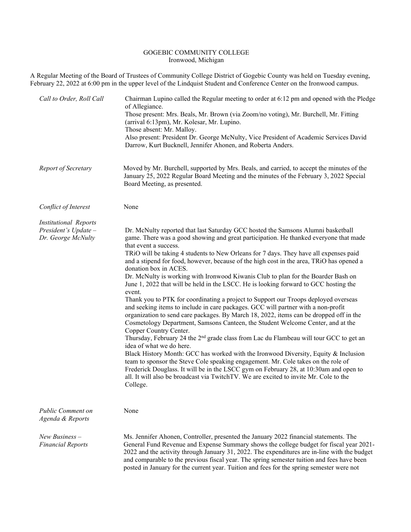## GOGEBIC COMMUNITY COLLEGE Ironwood, Michigan

A Regular Meeting of the Board of Trustees of Community College District of Gogebic County was held on Tuesday evening, February 22, 2022 at 6:00 pm in the upper level of the Lindquist Student and Conference Center on the Ironwood campus.

| Call to Order, Roll Call                                                     | Chairman Lupino called the Regular meeting to order at 6:12 pm and opened with the Pledge<br>of Allegiance.<br>Those present: Mrs. Beals, Mr. Brown (via Zoom/no voting), Mr. Burchell, Mr. Fitting<br>(arrival 6:13pm), Mr. Kolesar, Mr. Lupino.<br>Those absent: Mr. Malloy.<br>Also present: President Dr. George McNulty, Vice President of Academic Services David<br>Darrow, Kurt Bucknell, Jennifer Ahonen, and Roberta Anders.                                                                                                                                                                                                                                                                                                                                                                                                                                                                                                                                                                                                                                                                                                                                                                                                                                                                                                                                                                                                                                                                 |
|------------------------------------------------------------------------------|--------------------------------------------------------------------------------------------------------------------------------------------------------------------------------------------------------------------------------------------------------------------------------------------------------------------------------------------------------------------------------------------------------------------------------------------------------------------------------------------------------------------------------------------------------------------------------------------------------------------------------------------------------------------------------------------------------------------------------------------------------------------------------------------------------------------------------------------------------------------------------------------------------------------------------------------------------------------------------------------------------------------------------------------------------------------------------------------------------------------------------------------------------------------------------------------------------------------------------------------------------------------------------------------------------------------------------------------------------------------------------------------------------------------------------------------------------------------------------------------------------|
| Report of Secretary                                                          | Moved by Mr. Burchell, supported by Mrs. Beals, and carried, to accept the minutes of the<br>January 25, 2022 Regular Board Meeting and the minutes of the February 3, 2022 Special<br>Board Meeting, as presented.                                                                                                                                                                                                                                                                                                                                                                                                                                                                                                                                                                                                                                                                                                                                                                                                                                                                                                                                                                                                                                                                                                                                                                                                                                                                                    |
| Conflict of Interest                                                         | None                                                                                                                                                                                                                                                                                                                                                                                                                                                                                                                                                                                                                                                                                                                                                                                                                                                                                                                                                                                                                                                                                                                                                                                                                                                                                                                                                                                                                                                                                                   |
| <b>Institutional Reports</b><br>President's $Update -$<br>Dr. George McNulty | Dr. McNulty reported that last Saturday GCC hosted the Samsons Alumni basketball<br>game. There was a good showing and great participation. He thanked everyone that made<br>that event a success.<br>TRiO will be taking 4 students to New Orleans for 7 days. They have all expenses paid<br>and a stipend for food, however, because of the high cost in the area, TRiO has opened a<br>donation box in ACES.<br>Dr. McNulty is working with Ironwood Kiwanis Club to plan for the Boarder Bash on<br>June 1, 2022 that will be held in the LSCC. He is looking forward to GCC hosting the<br>event.<br>Thank you to PTK for coordinating a project to Support our Troops deployed overseas<br>and seeking items to include in care packages. GCC will partner with a non-profit<br>organization to send care packages. By March 18, 2022, items can be dropped off in the<br>Cosmetology Department, Samsons Canteen, the Student Welcome Center, and at the<br>Copper Country Center.<br>Thursday, February 24 the 2 <sup>nd</sup> grade class from Lac du Flambeau will tour GCC to get an<br>idea of what we do here.<br>Black History Month: GCC has worked with the Ironwood Diversity, Equity & Inclusion<br>team to sponsor the Steve Cole speaking engagement. Mr. Cole takes on the role of<br>Frederick Douglass. It will be in the LSCC gym on February 28, at 10:30am and open to<br>all. It will also be broadcast via TwitchTV. We are excited to invite Mr. Cole to the<br>College. |
| <b>Public Comment on</b><br>Agenda & Reports                                 | None                                                                                                                                                                                                                                                                                                                                                                                                                                                                                                                                                                                                                                                                                                                                                                                                                                                                                                                                                                                                                                                                                                                                                                                                                                                                                                                                                                                                                                                                                                   |
| New Business $-$<br><b>Financial Reports</b>                                 | Ms. Jennifer Ahonen, Controller, presented the January 2022 financial statements. The<br>General Fund Revenue and Expense Summary shows the college budget for fiscal year 2021-<br>2022 and the activity through January 31, 2022. The expenditures are in-line with the budget<br>and comparable to the previous fiscal year. The spring semester tuition and fees have been<br>posted in January for the current year. Tuition and fees for the spring semester were not                                                                                                                                                                                                                                                                                                                                                                                                                                                                                                                                                                                                                                                                                                                                                                                                                                                                                                                                                                                                                            |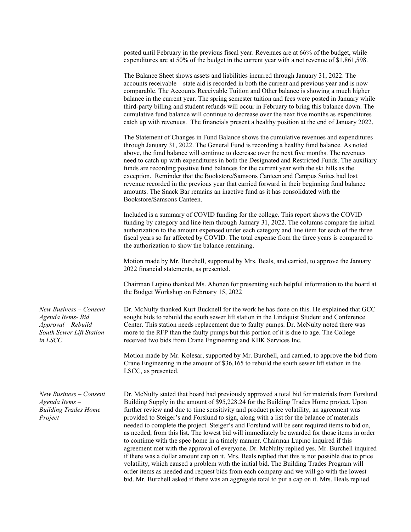posted until February in the previous fiscal year. Revenues are at 66% of the budget, while expenditures are at 50% of the budget in the current year with a net revenue of \$1,861,598.

The Balance Sheet shows assets and liabilities incurred through January 31, 2022. The accounts receivable – state aid is recorded in both the current and previous year and is now comparable. The Accounts Receivable Tuition and Other balance is showing a much higher balance in the current year. The spring semester tuition and fees were posted in January while third-party billing and student refunds will occur in February to bring this balance down. The cumulative fund balance will continue to decrease over the next five months as expenditures catch up with revenues. The financials present a healthy position at the end of January 2022.

The Statement of Changes in Fund Balance shows the cumulative revenues and expenditures through January 31, 2022. The General Fund is recording a healthy fund balance. As noted above, the fund balance will continue to decrease over the next five months. The revenues need to catch up with expenditures in both the Designated and Restricted Funds. The auxiliary funds are recording positive fund balances for the current year with the ski hills as the exception. Reminder that the Bookstore/Samsons Canteen and Campus Suites had lost revenue recorded in the previous year that carried forward in their beginning fund balance amounts. The Snack Bar remains an inactive fund as it has consolidated with the Bookstore/Samsons Canteen.

Included is a summary of COVID funding for the college. This report shows the COVID funding by category and line item through January 31, 2022. The columns compare the initial authorization to the amount expensed under each category and line item for each of the three fiscal years so far affected by COVID. The total expense from the three years is compared to the authorization to show the balance remaining.

Motion made by Mr. Burchell, supported by Mrs. Beals, and carried, to approve the January 2022 financial statements, as presented.

Chairman Lupino thanked Ms. Ahonen for presenting such helpful information to the board at the Budget Workshop on February 15, 2022

Dr. McNulty thanked Kurt Bucknell for the work he has done on this. He explained that GCC sought bids to rebuild the south sewer lift station in the Lindquist Student and Conference Center. This station needs replacement due to faulty pumps. Dr. McNulty noted there was more to the RFP than the faulty pumps but this portion of it is due to age. The College received two bids from Crane Engineering and KBK Services Inc.

Motion made by Mr. Kolesar, supported by Mr. Burchell, and carried, to approve the bid from Crane Engineering in the amount of \$36,165 to rebuild the south sewer lift station in the LSCC, as presented.

Dr. McNulty stated that board had previously approved a total bid for materials from Forslund Building Supply in the amount of \$95,228.24 for the Building Trades Home project. Upon further review and due to time sensitivity and product price volatility, an agreement was provided to Steiger's and Forslund to sign, along with a list for the balance of materials needed to complete the project. Steiger's and Forslund will be sent required items to bid on, as needed, from this list. The lowest bid will immediately be awarded for those items in order to continue with the spec home in a timely manner. Chairman Lupino inquired if this agreement met with the approval of everyone. Dr. McNulty replied yes. Mr. Burchell inquired if there was a dollar amount cap on it. Mrs. Beals replied that this is not possible due to price volatility, which caused a problem with the initial bid. The Building Trades Program will order items as needed and request bids from each company and we will go with the lowest bid. Mr. Burchell asked if there was an aggregate total to put a cap on it. Mrs. Beals replied

*New Business – Consent Agenda Items- Bid Approval – Rebuild South Sewer Lift Station in LSCC*

*New Business – Consent Agenda Items – Building Trades Home Project*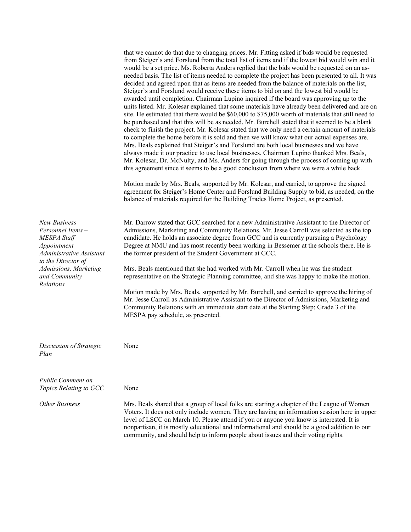|                                                                                                                         | that we cannot do that due to changing prices. Mr. Fitting asked if bids would be requested<br>from Steiger's and Forslund from the total list of items and if the lowest bid would win and it<br>would be a set price. Ms. Roberta Anders replied that the bids would be requested on an as-<br>needed basis. The list of items needed to complete the project has been presented to all. It was<br>decided and agreed upon that as items are needed from the balance of materials on the list,<br>Steiger's and Forslund would receive these items to bid on and the lowest bid would be<br>awarded until completion. Chairman Lupino inquired if the board was approving up to the<br>units listed. Mr. Kolesar explained that some materials have already been delivered and are on<br>site. He estimated that there would be \$60,000 to \$75,000 worth of materials that still need to<br>be purchased and that this will be as needed. Mr. Burchell stated that it seemed to be a blank<br>check to finish the project. Mr. Kolesar stated that we only need a certain amount of materials<br>to complete the home before it is sold and then we will know what our actual expenses are.<br>Mrs. Beals explained that Steiger's and Forslund are both local businesses and we have<br>always made it our practice to use local businesses. Chairman Lupino thanked Mrs. Beals,<br>Mr. Kolesar, Dr. McNulty, and Ms. Anders for going through the process of coming up with<br>this agreement since it seems to be a good conclusion from where we were a while back.<br>Motion made by Mrs. Beals, supported by Mr. Kolesar, and carried, to approve the signed<br>agreement for Steiger's Home Center and Forslund Building Supply to bid, as needed, on the<br>balance of materials required for the Building Trades Home Project, as presented. |
|-------------------------------------------------------------------------------------------------------------------------|-----------------------------------------------------------------------------------------------------------------------------------------------------------------------------------------------------------------------------------------------------------------------------------------------------------------------------------------------------------------------------------------------------------------------------------------------------------------------------------------------------------------------------------------------------------------------------------------------------------------------------------------------------------------------------------------------------------------------------------------------------------------------------------------------------------------------------------------------------------------------------------------------------------------------------------------------------------------------------------------------------------------------------------------------------------------------------------------------------------------------------------------------------------------------------------------------------------------------------------------------------------------------------------------------------------------------------------------------------------------------------------------------------------------------------------------------------------------------------------------------------------------------------------------------------------------------------------------------------------------------------------------------------------------------------------------------------------------------------------------------------------------------------------------------------------------------------------------------------------|
| $New Business -$<br>Personnel Items-<br>MESPA Staff<br>$Appointment-$<br>Administrative Assistant<br>to the Director of | Mr. Darrow stated that GCC searched for a new Administrative Assistant to the Director of<br>Admissions, Marketing and Community Relations. Mr. Jesse Carroll was selected as the top<br>candidate. He holds an associate degree from GCC and is currently pursuing a Psychology<br>Degree at NMU and has most recently been working in Bessemer at the schools there. He is<br>the former president of the Student Government at GCC.                                                                                                                                                                                                                                                                                                                                                                                                                                                                                                                                                                                                                                                                                                                                                                                                                                                                                                                                                                                                                                                                                                                                                                                                                                                                                                                                                                                                                    |
| Admissions, Marketing<br>and Community                                                                                  | Mrs. Beals mentioned that she had worked with Mr. Carroll when he was the student<br>representative on the Strategic Planning committee, and she was happy to make the motion.                                                                                                                                                                                                                                                                                                                                                                                                                                                                                                                                                                                                                                                                                                                                                                                                                                                                                                                                                                                                                                                                                                                                                                                                                                                                                                                                                                                                                                                                                                                                                                                                                                                                            |
| Relations                                                                                                               | Motion made by Mrs. Beals, supported by Mr. Burchell, and carried to approve the hiring of<br>Mr. Jesse Carroll as Administrative Assistant to the Director of Admissions, Marketing and<br>Community Relations with an immediate start date at the Starting Step; Grade 3 of the<br>MESPA pay schedule, as presented.                                                                                                                                                                                                                                                                                                                                                                                                                                                                                                                                                                                                                                                                                                                                                                                                                                                                                                                                                                                                                                                                                                                                                                                                                                                                                                                                                                                                                                                                                                                                    |
| Discussion of Strategic<br>Plan                                                                                         | None                                                                                                                                                                                                                                                                                                                                                                                                                                                                                                                                                                                                                                                                                                                                                                                                                                                                                                                                                                                                                                                                                                                                                                                                                                                                                                                                                                                                                                                                                                                                                                                                                                                                                                                                                                                                                                                      |
| <b>Public Comment on</b><br>Topics Relating to GCC                                                                      | None                                                                                                                                                                                                                                                                                                                                                                                                                                                                                                                                                                                                                                                                                                                                                                                                                                                                                                                                                                                                                                                                                                                                                                                                                                                                                                                                                                                                                                                                                                                                                                                                                                                                                                                                                                                                                                                      |
| <b>Other Business</b>                                                                                                   | Mrs. Beals shared that a group of local folks are starting a chapter of the League of Women<br>Voters. It does not only include women. They are having an information session here in upper<br>level of LSCC on March 10. Please attend if you or anyone you know is interested. It is<br>nonpartisan, it is mostly educational and informational and should be a good addition to our<br>community, and should help to inform people about issues and their voting rights.                                                                                                                                                                                                                                                                                                                                                                                                                                                                                                                                                                                                                                                                                                                                                                                                                                                                                                                                                                                                                                                                                                                                                                                                                                                                                                                                                                               |